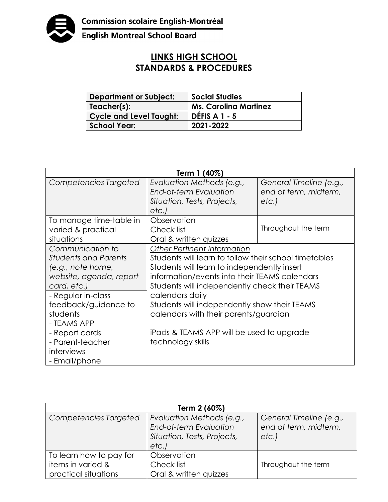

English Montreal School Board

## **LINKS HIGH SCHOOL STANDARDS & PROCEDURES**

| <b>Department or Subject:</b>  | <b>Social Studies</b>        |
|--------------------------------|------------------------------|
| Teacher(s):                    | <b>Ms. Carolina Martinez</b> |
| <b>Cycle and Level Taught:</b> | <b>DÉFIS A 1 - 5</b>         |
| <b>School Year:</b>            | 2021-2022                    |

| Term 1 (40%)                |                                                       |                         |  |  |
|-----------------------------|-------------------------------------------------------|-------------------------|--|--|
| Competencies Targeted       | Evaluation Methods (e.g.,                             | General Timeline (e.g., |  |  |
|                             | End-of-term Evaluation                                | end of term, midterm,   |  |  |
|                             | Situation, Tests, Projects,                           | etc.                    |  |  |
|                             | etc.)                                                 |                         |  |  |
| To manage time-table in     | Observation                                           |                         |  |  |
| varied & practical          | Check list                                            | Throughout the term     |  |  |
| situations                  | Oral & written quizzes                                |                         |  |  |
| Communication to            | <b>Other Pertinent Information</b>                    |                         |  |  |
| <b>Students and Parents</b> | Students will learn to follow their school timetables |                         |  |  |
| (e.g., note home,           | Students will learn to independently insert           |                         |  |  |
| website, agenda, report     | information/events into their TEAMS calendars         |                         |  |  |
| card, etc.)                 | Students will independently check their TEAMS         |                         |  |  |
| - Regular in-class          | calendars daily                                       |                         |  |  |
| feedback/guidance to        | Students will independently show their TEAMS          |                         |  |  |
| students                    | calendars with their parents/guardian                 |                         |  |  |
| - TEAMS APP                 |                                                       |                         |  |  |
| - Report cards              | iPads & TEAMS APP will be used to upgrade             |                         |  |  |
| - Parent-teacher            | technology skills                                     |                         |  |  |
| interviews                  |                                                       |                         |  |  |
| - Email/phone               |                                                       |                         |  |  |

| Term 2 (60%)                                                         |                                                                                             |                                                          |  |  |
|----------------------------------------------------------------------|---------------------------------------------------------------------------------------------|----------------------------------------------------------|--|--|
| Competencies Targeted                                                | Evaluation Methods (e.g.,<br>End-of-term Evaluation<br>Situation, Tests, Projects,<br>etc.) | General Timeline (e.g.,<br>end of term, midterm,<br>etc. |  |  |
| To learn how to pay for<br>items in varied &<br>practical situations | Observation<br>Check list<br>Oral & written quizzes                                         | Throughout the term                                      |  |  |